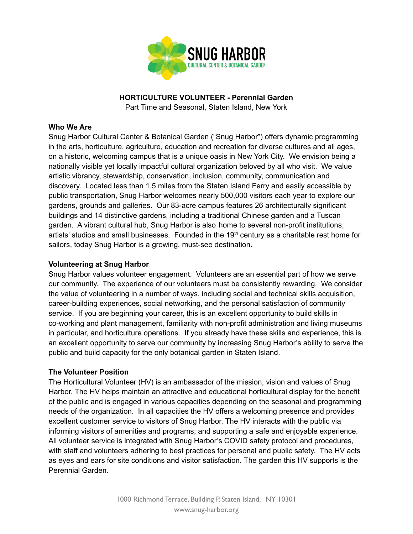

# **HORTICULTURE VOLUNTEER - Perennial Garden**

Part Time and Seasonal, Staten Island, New York

#### **Who We Are**

Snug Harbor Cultural Center & Botanical Garden ("Snug Harbor") offers dynamic programming in the arts, horticulture, agriculture, education and recreation for diverse cultures and all ages, on a historic, welcoming campus that is a unique oasis in New York City. We envision being a nationally visible yet locally impactful cultural organization beloved by all who visit. We value artistic vibrancy, stewardship, conservation, inclusion, community, communication and discovery. Located less than 1.5 miles from the Staten Island Ferry and easily accessible by public transportation, Snug Harbor welcomes nearly 500,000 visitors each year to explore our gardens, grounds and galleries. Our 83-acre campus features 26 architecturally significant buildings and 14 distinctive gardens, including a traditional Chinese garden and a Tuscan garden. A vibrant cultural hub, Snug Harbor is also home to several non-profit institutions, artists' studios and small businesses. Founded in the  $19<sup>th</sup>$  century as a charitable rest home for sailors, today Snug Harbor is a growing, must-see destination.

#### **Volunteering at Snug Harbor**

Snug Harbor values volunteer engagement. Volunteers are an essential part of how we serve our community. The experience of our volunteers must be consistently rewarding. We consider the value of volunteering in a number of ways, including social and technical skills acquisition, career-building experiences, social networking, and the personal satisfaction of community service. If you are beginning your career, this is an excellent opportunity to build skills in co-working and plant management, familiarity with non-profit administration and living museums in particular, and horticulture operations. If you already have these skills and experience, this is an excellent opportunity to serve our community by increasing Snug Harbor's ability to serve the public and build capacity for the only botanical garden in Staten Island.

#### **The Volunteer Position**

The Horticultural Volunteer (HV) is an ambassador of the mission, vision and values of Snug Harbor. The HV helps maintain an attractive and educational horticultural display for the benefit of the public and is engaged in various capacities depending on the seasonal and programming needs of the organization. In all capacities the HV offers a welcoming presence and provides excellent customer service to visitors of Snug Harbor. The HV interacts with the public via informing visitors of amenities and programs; and supporting a safe and enjoyable experience. All volunteer service is integrated with Snug Harbor's COVID safety protocol and procedures, with staff and volunteers adhering to best practices for personal and public safety. The HV acts as eyes and ears for site conditions and visitor satisfaction. The garden this HV supports is the Perennial Garden.